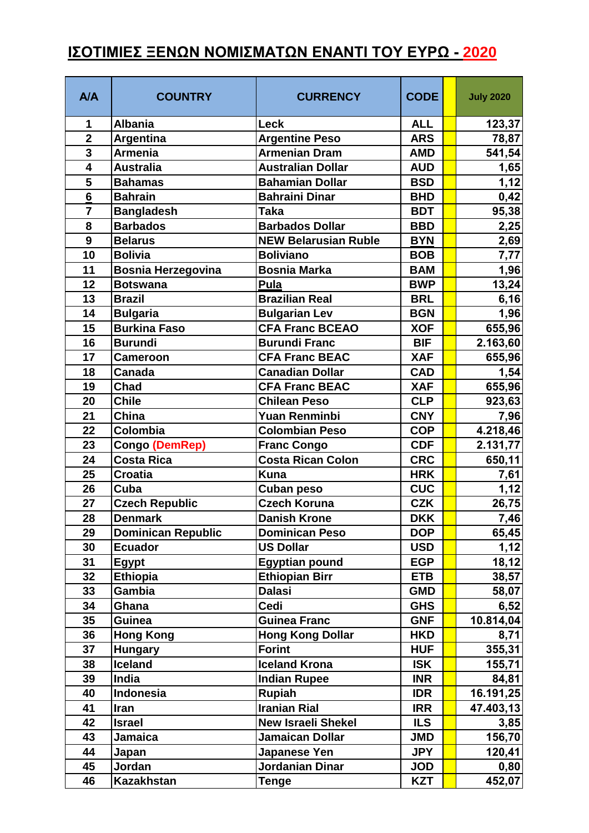## **ΙΣΟΤΙΜΙΕΣ ΞΕΝΩΝ ΝΟΜΙΣΜΑΤΩΝ ΕΝΑΝΤΙ ΤΟΥ ΕΥΡΩ - 2020**

| A/A                     | <b>COUNTRY</b>            | <b>CURRENCY</b>             | <b>CODE</b> | <b>July 2020</b> |
|-------------------------|---------------------------|-----------------------------|-------------|------------------|
| 1                       | <b>Albania</b>            | Leck                        | <b>ALL</b>  | 123,37           |
| $\overline{\mathbf{2}}$ | Argentina                 | <b>Argentine Peso</b>       | <b>ARS</b>  | 78,87            |
| 3                       | <b>Armenia</b>            | <b>Armenian Dram</b>        | <b>AMD</b>  | 541,54           |
| 4                       | <b>Australia</b>          | <b>Australian Dollar</b>    | <b>AUD</b>  | 1,65             |
| 5                       | <b>Bahamas</b>            | <b>Bahamian Dollar</b>      | <b>BSD</b>  | 1,12             |
| $\overline{6}$          | <b>Bahrain</b>            | <b>Bahraini Dinar</b>       | <b>BHD</b>  | 0,42             |
| $\overline{7}$          | <b>Bangladesh</b>         | <b>Taka</b>                 | <b>BDT</b>  | 95,38            |
| 8                       | <b>Barbados</b>           | <b>Barbados Dollar</b>      | <b>BBD</b>  | 2,25             |
| $\boldsymbol{9}$        | <b>Belarus</b>            | <b>NEW Belarusian Ruble</b> | <b>BYN</b>  | 2,69             |
| 10                      | <b>Bolivia</b>            | <b>Boliviano</b>            | <b>BOB</b>  | 7,77             |
| 11                      | <b>Bosnia Herzegovina</b> | <b>Bosnia Marka</b>         | <b>BAM</b>  | 1,96             |
| 12                      | <b>Botswana</b>           | Pula                        | <b>BWP</b>  | 13,24            |
| 13                      | <b>Brazil</b>             | <b>Brazilian Real</b>       | <b>BRL</b>  | 6,16             |
| 14                      | <b>Bulgaria</b>           | <b>Bulgarian Lev</b>        | <b>BGN</b>  | 1,96             |
| 15                      | <b>Burkina Faso</b>       | <b>CFA Franc BCEAO</b>      | <b>XOF</b>  | 655,96           |
| 16                      | <b>Burundi</b>            | <b>Burundi Franc</b>        | <b>BIF</b>  | 2.163,60         |
| 17                      | <b>Cameroon</b>           | <b>CFA Franc BEAC</b>       | <b>XAF</b>  | 655,96           |
| 18                      | Canada                    | <b>Canadian Dollar</b>      | <b>CAD</b>  | 1,54             |
| 19                      | Chad                      | <b>CFA Franc BEAC</b>       | <b>XAF</b>  | 655,96           |
| 20                      | <b>Chile</b>              | <b>Chilean Peso</b>         | <b>CLP</b>  | 923,63           |
| 21                      | China                     | <b>Yuan Renminbi</b>        | <b>CNY</b>  | 7,96             |
| 22                      | Colombia                  | <b>Colombian Peso</b>       | <b>COP</b>  | 4.218,46         |
| 23                      | Congo (DemRep)            | <b>Franc Congo</b>          | <b>CDF</b>  | 2.131,77         |
| 24                      | <b>Costa Rica</b>         | <b>Costa Rican Colon</b>    | <b>CRC</b>  | 650,11           |
| 25                      | <b>Croatia</b>            | <b>Kuna</b>                 | <b>HRK</b>  | 7,61             |
| 26                      | Cuba                      | <b>Cuban peso</b>           | <b>CUC</b>  | 1,12             |
| 27                      | <b>Czech Republic</b>     | <b>Czech Koruna</b>         | <b>CZK</b>  | 26,75            |
| 28                      | <b>Denmark</b>            | <b>Danish Krone</b>         | <b>DKK</b>  | 7,46             |
| 29                      | <b>Dominican Republic</b> | <b>Dominican Peso</b>       | <b>DOP</b>  | 65,45            |
| 30                      | <b>Ecuador</b>            | <b>US Dollar</b>            | <b>USD</b>  | 1,12             |
| 31                      | Egypt                     | <b>Egyptian pound</b>       | <b>EGP</b>  | 18,12            |
| 32                      | <b>Ethiopia</b>           | <b>Ethiopian Birr</b>       | <b>ETB</b>  | 38,57            |
| 33                      | Gambia                    | <b>Dalasi</b>               | <b>GMD</b>  | 58,07            |
| 34                      | Ghana                     | Cedi                        | <b>GHS</b>  | 6,52             |
| 35                      | <b>Guinea</b>             | <b>Guinea Franc</b>         | <b>GNF</b>  | 10.814,04        |
| 36                      | <b>Hong Kong</b>          | <b>Hong Kong Dollar</b>     | <b>HKD</b>  | 8,71             |
| 37                      | <b>Hungary</b>            | <b>Forint</b>               | <b>HUF</b>  | 355,31           |
| 38                      | <b>Iceland</b>            | <b>Iceland Krona</b>        | <b>ISK</b>  | 155,71           |
| 39                      | India                     | <b>Indian Rupee</b>         | <b>INR</b>  | 84,81            |
| 40                      | Indonesia                 | <b>Rupiah</b>               | <b>IDR</b>  | 16.191,25        |
| 41                      | Iran                      | <b>Iranian Rial</b>         | <b>IRR</b>  | 47.403,13        |
| 42                      | <b>Israel</b>             | <b>New Israeli Shekel</b>   | <b>ILS</b>  | 3,85             |
| 43                      | Jamaica                   | <b>Jamaican Dollar</b>      | <b>JMD</b>  | 156,70           |
| 44                      | Japan                     | <b>Japanese Yen</b>         | <b>JPY</b>  | 120,41           |
| 45                      | Jordan                    | <b>Jordanian Dinar</b>      | <b>JOD</b>  | 0,80             |
| 46                      | <b>Kazakhstan</b>         | <b>Tenge</b>                | <b>KZT</b>  | 452,07           |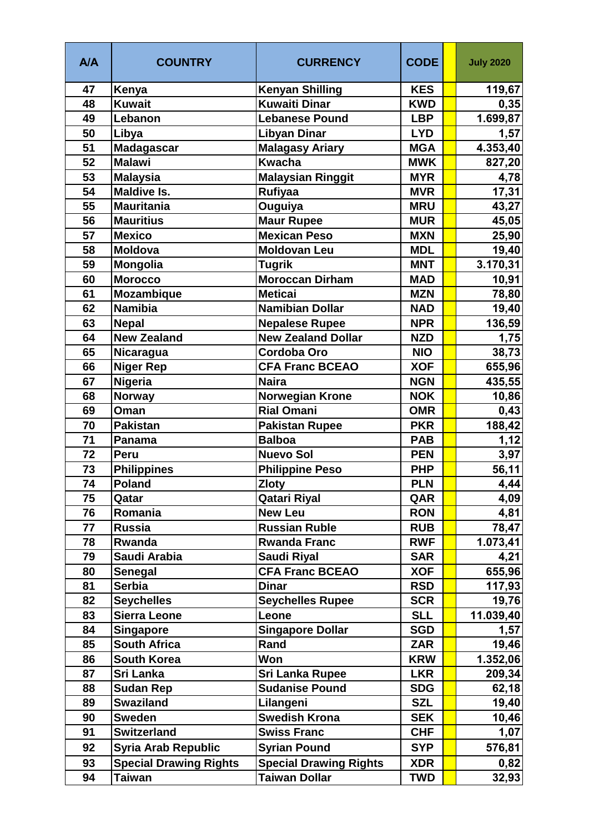| A/A | <b>COUNTRY</b>                | <b>CURRENCY</b>               | <b>CODE</b> | <b>July 2020</b> |
|-----|-------------------------------|-------------------------------|-------------|------------------|
| 47  | Kenya                         | <b>Kenyan Shilling</b>        | <b>KES</b>  | 119,67           |
| 48  | <b>Kuwait</b>                 | <b>Kuwaiti Dinar</b>          | <b>KWD</b>  | 0,35             |
| 49  | Lebanon                       | <b>Lebanese Pound</b>         | <b>LBP</b>  | 1.699,87         |
| 50  | Libya                         | <b>Libyan Dinar</b>           | <b>LYD</b>  | 1,57             |
| 51  | <b>Madagascar</b>             | <b>Malagasy Ariary</b>        | <b>MGA</b>  | 4.353,40         |
| 52  | <b>Malawi</b>                 | <b>Kwacha</b>                 | <b>MWK</b>  | 827,20           |
| 53  | <b>Malaysia</b>               | <b>Malaysian Ringgit</b>      | <b>MYR</b>  | 4,78             |
| 54  | <b>Maldive Is.</b>            | Rufiyaa                       | <b>MVR</b>  | 17,31            |
| 55  | <b>Mauritania</b>             | <b>Ouguiya</b>                | <b>MRU</b>  | 43,27            |
| 56  | <b>Mauritius</b>              | <b>Maur Rupee</b>             | <b>MUR</b>  | 45,05            |
| 57  | <b>Mexico</b>                 | <b>Mexican Peso</b>           | <b>MXN</b>  | 25,90            |
| 58  | <b>Moldova</b>                | <b>Moldovan Leu</b>           | <b>MDL</b>  | 19,40            |
| 59  | <b>Mongolia</b>               | <b>Tugrik</b>                 | <b>MNT</b>  | 3.170,31         |
| 60  | <b>Morocco</b>                | <b>Moroccan Dirham</b>        | <b>MAD</b>  | 10,91            |
| 61  | <b>Mozambique</b>             | <b>Meticai</b>                | <b>MZN</b>  | 78,80            |
| 62  | <b>Namibia</b>                | <b>Namibian Dollar</b>        | <b>NAD</b>  | 19,40            |
| 63  | <b>Nepal</b>                  | <b>Nepalese Rupee</b>         | <b>NPR</b>  | 136,59           |
| 64  | <b>New Zealand</b>            | <b>New Zealand Dollar</b>     | <b>NZD</b>  | 1,75             |
| 65  | Nicaragua                     | Cordoba Oro                   | <b>NIO</b>  | 38,73            |
| 66  | <b>Niger Rep</b>              | <b>CFA Franc BCEAO</b>        | <b>XOF</b>  | 655,96           |
| 67  | <b>Nigeria</b>                | <b>Naira</b>                  | <b>NGN</b>  | 435,55           |
| 68  | <b>Norway</b>                 | <b>Norwegian Krone</b>        | <b>NOK</b>  | 10,86            |
| 69  | Oman                          | <b>Rial Omani</b>             | <b>OMR</b>  | 0,43             |
| 70  | <b>Pakistan</b>               | <b>Pakistan Rupee</b>         | <b>PKR</b>  | 188,42           |
| 71  | Panama                        | <b>Balboa</b>                 | <b>PAB</b>  | 1,12             |
| 72  | Peru                          | <b>Nuevo Sol</b>              | <b>PEN</b>  | 3,97             |
| 73  | <b>Philippines</b>            | <b>Philippine Peso</b>        | <b>PHP</b>  | 56,11            |
| 74  | <b>Poland</b>                 | <b>Zloty</b>                  | <b>PLN</b>  | 4,44             |
| 75  | Qatar                         | <b>Qatari Riyal</b>           | QAR         | 4,09             |
| 76  | Romania                       | <b>New Leu</b>                | <b>RON</b>  | 4,81             |
| 77  | <b>Russia</b>                 | <b>Russian Ruble</b>          | <b>RUB</b>  | 78,47            |
| 78  | Rwanda                        | <b>Rwanda Franc</b>           | <b>RWF</b>  | 1.073,41         |
| 79  | Saudi Arabia                  | <b>Saudi Riyal</b>            | <b>SAR</b>  | 4,21             |
| 80  | Senegal                       | <b>CFA Franc BCEAO</b>        | <b>XOF</b>  | 655,96           |
| 81  | <b>Serbia</b>                 | <b>Dinar</b>                  | <b>RSD</b>  | 117,93           |
| 82  | <b>Seychelles</b>             | <b>Seychelles Rupee</b>       | <b>SCR</b>  | 19,76            |
| 83  | <b>Sierra Leone</b>           | Leone                         | <b>SLL</b>  | 11.039,40        |
| 84  | <b>Singapore</b>              | <b>Singapore Dollar</b>       | <b>SGD</b>  | 1,57             |
| 85  | South Africa                  | Rand                          | <b>ZAR</b>  | 19,46            |
| 86  | <b>South Korea</b>            | Won                           | <b>KRW</b>  | 1.352,06         |
| 87  | Sri Lanka                     | <b>Sri Lanka Rupee</b>        | <b>LKR</b>  | 209,34           |
| 88  | <b>Sudan Rep</b>              | <b>Sudanise Pound</b>         | <b>SDG</b>  | 62,18            |
| 89  | <b>Swaziland</b>              | Lilangeni                     | <b>SZL</b>  | 19,40            |
| 90  | <b>Sweden</b>                 | <b>Swedish Krona</b>          | <b>SEK</b>  | 10,46            |
| 91  | <b>Switzerland</b>            | <b>Swiss Franc</b>            | <b>CHF</b>  | 1,07             |
| 92  | <b>Syria Arab Republic</b>    | <b>Syrian Pound</b>           | <b>SYP</b>  | 576,81           |
| 93  | <b>Special Drawing Rights</b> | <b>Special Drawing Rights</b> | <b>XDR</b>  |                  |
| 94  | Taiwan                        | <b>Taiwan Dollar</b>          | <b>TWD</b>  | 0,82             |
|     |                               |                               |             | 32,93            |